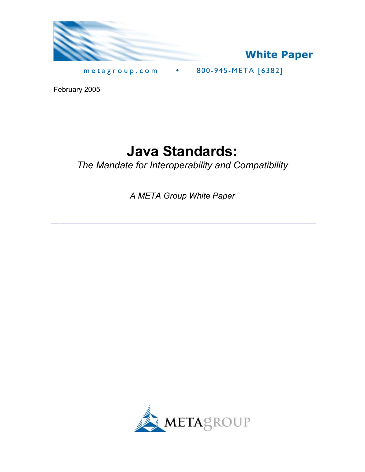



metagroup.com **•** 800-945-META [6382]

February 2005

# **Java Standards:**

*The Mandate for Interoperability and Compatibility* 

*A META Group White Paper* 

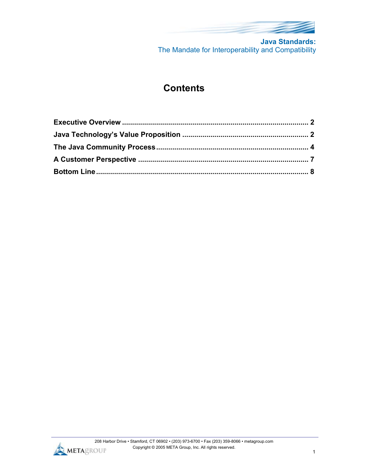

**Java Standards:** The Mandate for Interoperability and Compatibility

# **Contents**

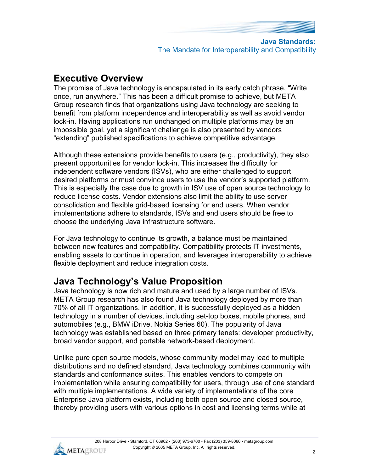

**Java Standards:** The Mandate for Interoperability and Compatibility

## **Executive Overview**

The promise of Java technology is encapsulated in its early catch phrase, "Write once, run anywhere." This has been a difficult promise to achieve, but META Group research finds that organizations using Java technology are seeking to benefit from platform independence and interoperability as well as avoid vendor lock-in. Having applications run unchanged on multiple platforms may be an impossible goal, yet a significant challenge is also presented by vendors "extending" published specifications to achieve competitive advantage.

Although these extensions provide benefits to users (e.g., productivity), they also present opportunities for vendor lock-in. This increases the difficulty for independent software vendors (ISVs), who are either challenged to support desired platforms or must convince users to use the vendor's supported platform. This is especially the case due to growth in ISV use of open source technology to reduce license costs. Vendor extensions also limit the ability to use server consolidation and flexible grid-based licensing for end users. When vendor implementations adhere to standards, ISVs and end users should be free to choose the underlying Java infrastructure software.

For Java technology to continue its growth, a balance must be maintained between new features and compatibility. Compatibility protects IT investments, enabling assets to continue in operation, and leverages interoperability to achieve flexible deployment and reduce integration costs.

## **Java Technology's Value Proposition**

Java technology is now rich and mature and used by a large number of ISVs. META Group research has also found Java technology deployed by more than 70% of all IT organizations. In addition, it is successfully deployed as a hidden technology in a number of devices, including set-top boxes, mobile phones, and automobiles (e.g., BMW iDrive, Nokia Series 60). The popularity of Java technology was established based on three primary tenets: developer productivity, broad vendor support, and portable network-based deployment.

Unlike pure open source models, whose community model may lead to multiple distributions and no defined standard, Java technology combines community with standards and conformance suites. This enables vendors to compete on implementation while ensuring compatibility for users, through use of one standard with multiple implementations. A wide variety of implementations of the core Enterprise Java platform exists, including both open source and closed source, thereby providing users with various options in cost and licensing terms while at

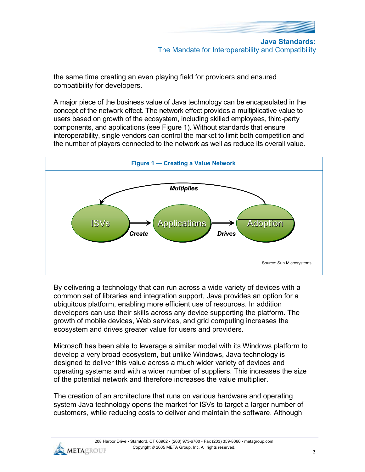

The Mandate for Interoperability and Compatibility

the same time creating an even playing field for providers and ensured compatibility for developers.

A major piece of the business value of Java technology can be encapsulated in the concept of the network effect. The network effect provides a multiplicative value to users based on growth of the ecosystem, including skilled employees, third-party components, and applications (see Figure 1). Without standards that ensure interoperability, single vendors can control the market to limit both competition and the number of players connected to the network as well as reduce its overall value.



By delivering a technology that can run across a wide variety of devices with a common set of libraries and integration support, Java provides an option for a ubiquitous platform, enabling more efficient use of resources. In addition developers can use their skills across any device supporting the platform. The growth of mobile devices, Web services, and grid computing increases the ecosystem and drives greater value for users and providers.

Microsoft has been able to leverage a similar model with its Windows platform to develop a very broad ecosystem, but unlike Windows, Java technology is designed to deliver this value across a much wider variety of devices and operating systems and with a wider number of suppliers. This increases the size of the potential network and therefore increases the value multiplier.

The creation of an architecture that runs on various hardware and operating system Java technology opens the market for ISVs to target a larger number of customers, while reducing costs to deliver and maintain the software. Although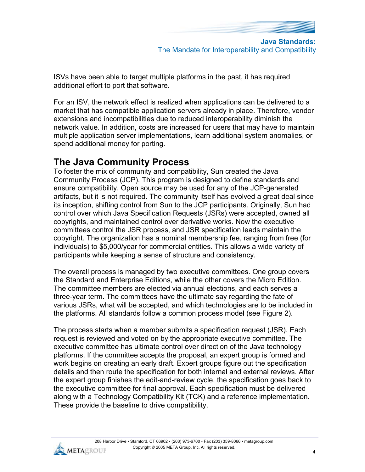

**Java Standards:** The Mandate for Interoperability and Compatibility

ISVs have been able to target multiple platforms in the past, it has required additional effort to port that software.

For an ISV, the network effect is realized when applications can be delivered to a market that has compatible application servers already in place. Therefore, vendor extensions and incompatibilities due to reduced interoperability diminish the network value. In addition, costs are increased for users that may have to maintain multiple application server implementations, learn additional system anomalies, or spend additional money for porting.

## **The Java Community Process**

To foster the mix of community and compatibility, Sun created the Java Community Process (JCP). This program is designed to define standards and ensure compatibility. Open source may be used for any of the JCP-generated artifacts, but it is not required. The community itself has evolved a great deal since its inception, shifting control from Sun to the JCP participants. Originally, Sun had control over which Java Specification Requests (JSRs) were accepted, owned all copyrights, and maintained control over derivative works. Now the executive committees control the JSR process, and JSR specification leads maintain the copyright. The organization has a nominal membership fee, ranging from free (for individuals) to \$5,000/year for commercial entities. This allows a wide variety of participants while keeping a sense of structure and consistency.

The overall process is managed by two executive committees. One group covers the Standard and Enterprise Editions, while the other covers the Micro Edition. The committee members are elected via annual elections, and each serves a three-year term. The committees have the ultimate say regarding the fate of various JSRs, what will be accepted, and which technologies are to be included in the platforms. All standards follow a common process model (see Figure 2).

The process starts when a member submits a specification request (JSR). Each request is reviewed and voted on by the appropriate executive committee. The executive committee has ultimate control over direction of the Java technology platforms. If the committee accepts the proposal, an expert group is formed and work begins on creating an early draft. Expert groups figure out the specification details and then route the specification for both internal and external reviews. After the expert group finishes the edit-and-review cycle, the specification goes back to the executive committee for final approval. Each specification must be delivered along with a Technology Compatibility Kit (TCK) and a reference implementation. These provide the baseline to drive compatibility.

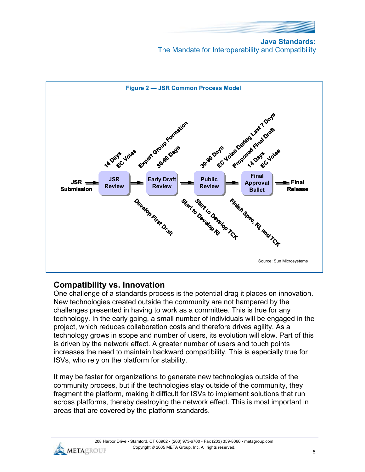

**Java Standards:** The Mandate for Interoperability and Compatibility



### **Compatibility vs. Innovation**

One challenge of a standards process is the potential drag it places on innovation. New technologies created outside the community are not hampered by the challenges presented in having to work as a committee. This is true for any technology. In the early going, a small number of individuals will be engaged in the project, which reduces collaboration costs and therefore drives agility. As a technology grows in scope and number of users, its evolution will slow. Part of this is driven by the network effect. A greater number of users and touch points increases the need to maintain backward compatibility. This is especially true for ISVs, who rely on the platform for stability.

It may be faster for organizations to generate new technologies outside of the community process, but if the technologies stay outside of the community, they fragment the platform, making it difficult for ISVs to implement solutions that run across platforms, thereby destroying the network effect. This is most important in areas that are covered by the platform standards.

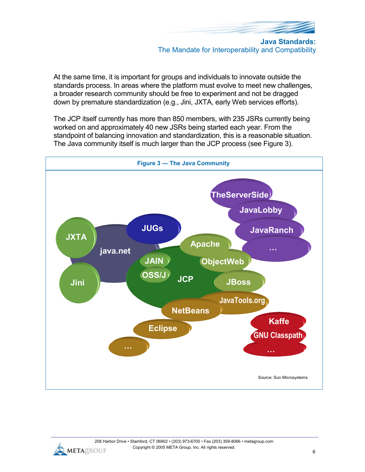

At the same time, it is important for groups and individuals to innovate outside the standards process. In areas where the platform must evolve to meet new challenges, a broader research community should be free to experiment and not be dragged down by premature standardization (e.g., Jini, JXTA, early Web services efforts).

The JCP itself currently has more than 850 members, with 235 JSRs currently being worked on and approximately 40 new JSRs being started each year. From the standpoint of balancing innovation and standardization, this is a reasonable situation. The Java community itself is much larger than the JCP process (see Figure 3).



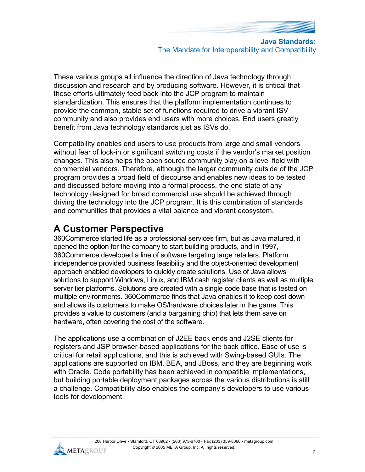

The Mandate for Interoperability and Compatibility

These various groups all influence the direction of Java technology through discussion and research and by producing software. However, it is critical that these efforts ultimately feed back into the JCP program to maintain standardization. This ensures that the platform implementation continues to provide the common, stable set of functions required to drive a vibrant ISV community and also provides end users with more choices. End users greatly benefit from Java technology standards just as ISVs do.

Compatibility enables end users to use products from large and small vendors without fear of lock-in or significant switching costs if the vendor's market position changes. This also helps the open source community play on a level field with commercial vendors. Therefore, although the larger community outside of the JCP program provides a broad field of discourse and enables new ideas to be tested and discussed before moving into a formal process, the end state of any technology designed for broad commercial use should be achieved through driving the technology into the JCP program. It is this combination of standards and communities that provides a vital balance and vibrant ecosystem.

## **A Customer Perspective**

360Commerce started life as a professional services firm, but as Java matured, it opened the option for the company to start building products, and in 1997, 360Commerce developed a line of software targeting large retailers. Platform independence provided business feasibility and the object-oriented development approach enabled developers to quickly create solutions. Use of Java allows solutions to support Windows, Linux, and IBM cash register clients as well as multiple server tier platforms. Solutions are created with a single code base that is tested on multiple environments. 360Commerce finds that Java enables it to keep cost down and allows its customers to make OS/hardware choices later in the game. This provides a value to customers (and a bargaining chip) that lets them save on hardware, often covering the cost of the software.

The applications use a combination of J2EE back ends and J2SE clients for registers and JSP browser-based applications for the back office. Ease of use is critical for retail applications, and this is achieved with Swing-based GUIs. The applications are supported on IBM, BEA, and JBoss, and they are beginning work with Oracle. Code portability has been achieved in compatible implementations, but building portable deployment packages across the various distributions is still a challenge. Compatibility also enables the company's developers to use various tools for development.

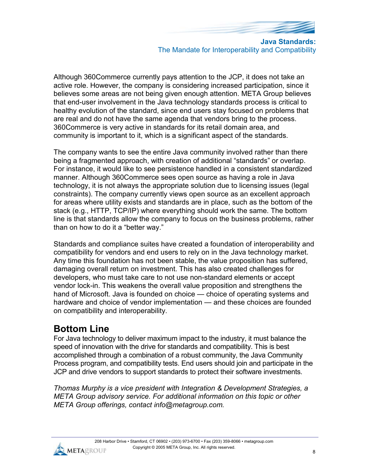

**Java Standards:** The Mandate for Interoperability and Compatibility

Although 360Commerce currently pays attention to the JCP, it does not take an active role. However, the company is considering increased participation, since it believes some areas are not being given enough attention. META Group believes that end-user involvement in the Java technology standards process is critical to healthy evolution of the standard, since end users stay focused on problems that are real and do not have the same agenda that vendors bring to the process. 360Commerce is very active in standards for its retail domain area, and community is important to it, which is a significant aspect of the standards.

The company wants to see the entire Java community involved rather than there being a fragmented approach, with creation of additional "standards" or overlap. For instance, it would like to see persistence handled in a consistent standardized manner. Although 360Commerce sees open source as having a role in Java technology, it is not always the appropriate solution due to licensing issues (legal constraints). The company currently views open source as an excellent approach for areas where utility exists and standards are in place, such as the bottom of the stack (e.g., HTTP, TCP/IP) where everything should work the same. The bottom line is that standards allow the company to focus on the business problems, rather than on how to do it a "better way."

Standards and compliance suites have created a foundation of interoperability and compatibility for vendors and end users to rely on in the Java technology market. Any time this foundation has not been stable, the value proposition has suffered, damaging overall return on investment. This has also created challenges for developers, who must take care to not use non-standard elements or accept vendor lock-in. This weakens the overall value proposition and strengthens the hand of Microsoft. Java is founded on choice — choice of operating systems and hardware and choice of vendor implementation — and these choices are founded on compatibility and interoperability.

## **Bottom Line**

For Java technology to deliver maximum impact to the industry, it must balance the speed of innovation with the drive for standards and compatibility. This is best accomplished through a combination of a robust community, the Java Community Process program, and compatibility tests. End users should join and participate in the JCP and drive vendors to support standards to protect their software investments.

*Thomas Murphy is a vice president with Integration & Development Strategies, a META Group advisory service. For additional information on this topic or other META Group offerings, contact info@metagroup.com.*